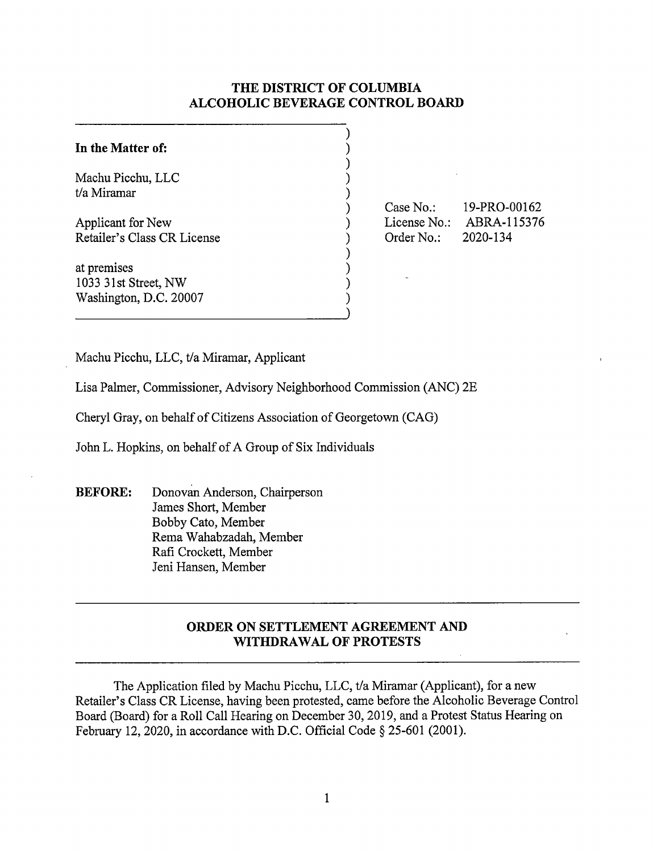# **THE DISTRICT OF COLUMBIA ALCOHOLIC BEVERAGE CONTROL BOARD**

| In the Matter of:                                             |  |
|---------------------------------------------------------------|--|
| Machu Picchu, LLC<br>t/a Miramar                              |  |
| Applicant for New<br>Retailer's Class CR License              |  |
| at premises<br>1033 31st Street, NW<br>Washington, D.C. 20007 |  |

Case No.: License No.: ABRA-115376 Order No.: 19-PRO-00162 2020-134

Machu Picchu, LLC, t/a Miramar, Applicant

Lisa Palmer, Commissioner, Advisory Neighborhood Commission (ANC) 2E

Cheryl Gray, on behalf of Citizens Association of Georgetown (CAG)

John L. Hopkins, on behalf of A Group of Six Individuals

**BEFORE:** Donovan Anderson, Chairperson James Short, Member Bobby Cato, Member Rema Wahabzadah, Member Rafi Crockett, Member Jeni Hansen, Member

# **ORDER ON SETTLEMENT AGREEMENT AND WITHDRAWAL OF PROTESTS**

The Application filed by Machu Picchu, LLC, t/a Miramar (Applicant), for a new Retailer's Class CR License, having been protested, came before the Alcoholic Beverage Control Board (Board) for a Roll Call Hearing on December 30, 2019, and a Protest Status Hearing on February 12, 2020, in accordance with D.C. Official Code § 25-601 (2001).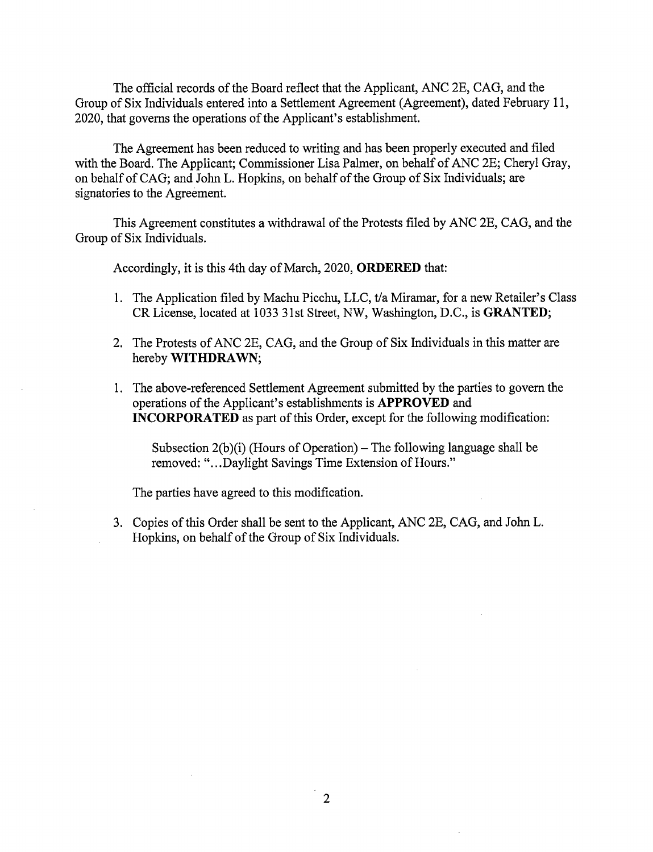The official records of the Board reflect that the Applicant, ANC 2E, CAG, and the Group of Six Individuals entered into a Settlement Agreement (Agreement), dated February 11, 2020, that governs the operations of the Applicant's establishment.

The Agreement has been reduced to writing and has been properly executed and filed with the Board. The Applicant; Commissioner Lisa Palmer, on behalf of ANC 2E; Cheryl Gray, on behalf of CAG; and John L. Hopkins, on behalf of the Group of Six Individuals; are signatories to the Agreement.

This Agreement constitutes a withdrawal of the Protests filed by ANC 2E, CAG, and the Group of Six Individuals.

Accordingly, it is this 4th day of March, 2020, **ORDERED** that:

- 1. The Application filed by Machu Picchu, LLC, t/a Miramar, for a new Retailer's Class CR License, located at 1033 31st Street, NW, Washington, D.C., is **GRANTED;**
- 2. The Protests of ANC 2E, CAG, and the Group of Six Individuals in this matter are hereby **WITHDRAWN;**
- 1. The above-referenced Settlement Agreement submitted by the parties to govern the operations of the Applicant's establishments is **APPROVED** and **INCORPORATED** as part of this Order, except for the following modification:

Subsection  $2(b)(i)$  (Hours of Operation) – The following language shall be removed: "...Daylight Savings Time Extension of Hours."

The parties have agreed to this modification.

3. Copies of this Order shall be sent to the Applicant, ANC 2E, CAG, and John L. Hopkins, on behalf of the Group of Six Individuals.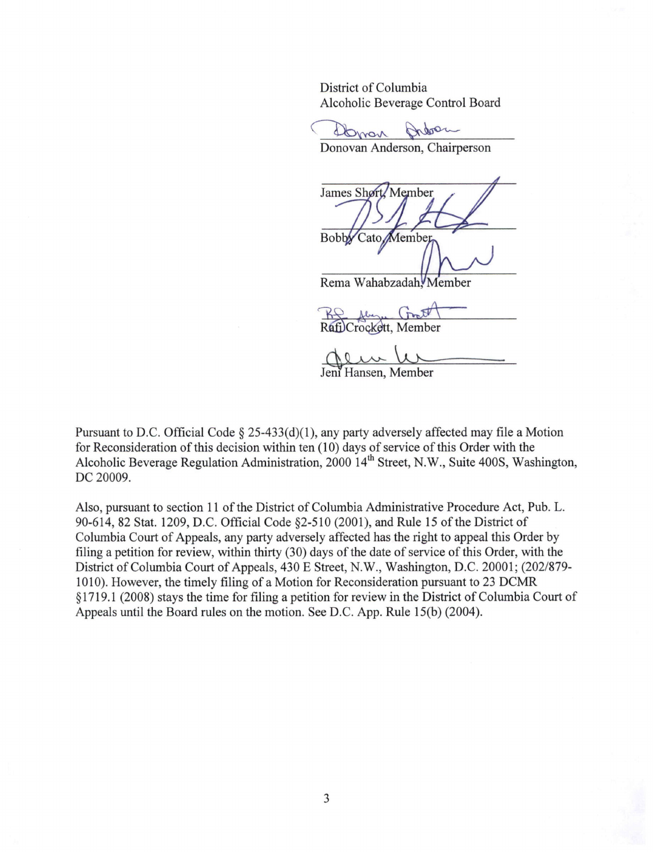District of Columbia Alcoholic Beverage Control Board District of Columbia<br>Alcoholic Beverage Control Board<br>
<del>Donovan Anderson, Chairperson</del>

James Shørt Member **Bobby** Cato Member  $\overline{\phantom{a}}$ 

Rema Wahabzadah, Member

RS fly Groot

<sup>~</sup> 9, ~ lli Jem Hansen, Member

Pursuant to D.C. Official Code § 25-433(d)(1), any party adversely affected may file a Motion for Reconsideration of this decision within ten (10) days of service of this Order with the Alcoholic Beverage Regulation Administration, 2000 14<sup>th</sup> Street, N.W., Suite 400S, Washington, DC 20009.

Also, pursuant to section 11 of the District of Columbia Administrative Procedure Act, Pub. L. 90-614, 82 Stat. 1209, D.C. Official Code §2-510 (2001), and Rule 15 of the District of Columbia Court of Appeals, any party adversely affected has the right to appeal this Order by filing a petition for review, within thirty (30) days of the date of service of this Order, with the District of Columbia Court of Appeals, 430 E Street, N.W., Washington, D.C. 20001; (202/879- 1010). However, the timely filing of a Motion for Reconsideration pursuant to 23 DCMR § 1719 .1 (2008) stays the time for filing a petition for review in the District of Columbia Court of Appeals until the Board rules on the motion. See D.C. App. Rule 15(b) (2004).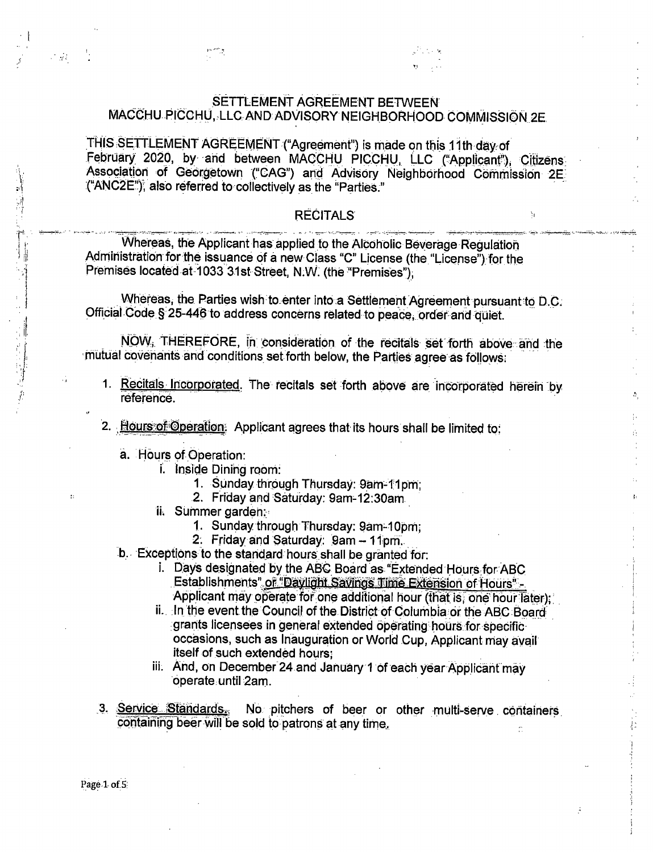THIS SETTLEMENT AGREEMENT ("Agreement") is made on this 11th day of February 2020, by and between MACCHU PICCHU, LLC ("Applicant"), Citizens Association of Georgetown ("CAG") and Advisory Neighborhood Commission 2E ("ANC2E"), also referred to collectively as the "Parties."

## **RECITALS**

 $\mathbf{h}$ 

ţ,

ŵ

Whereas, the Applicant has applied to the Alcoholic Beverage Regulation Administration for the issuance of a new Class "C" License (the "License") for the Premises located at 1033 31st Street, N.W. (the "Premises"),

Whereas, the Parties wish to enter into a Settlement Agreement pursuant to D.C. Official Code § 25-446 to address concerns related to peace, order and quiet.

NOW, THEREFORE, in consideration of the recitals set forth above and the mutual covenants and conditions set forth below, the Parties agree as follows:

- 1. Recitals Incorporated. The recitals set forth above are incorporated herein by réference.
- 2. Hours of Operation: Applicant agrees that its hours shall be limited to:
	- a. Hours of Operation:
		- i. Inside Dining room:
			- 1. Sunday through Thursday: 9am-11pm;
			- 2. Friday and Saturday: 9am-12:30am
		- ii. Summer garden:
			- 1. Sunday through Thursday: 9am-10pm;
			- 2. Friday and Saturday: 9am 11pm.
	- b. Exceptions to the standard hours shall be granted for:
		- i. Days designated by the ABC Board as "Extended Hours for ABC Establishments" or "Daviight Savings Time Extension of Hours"-Applicant may operate for one additional hour (that is, one hour later);
		- ii. In the event the Council of the District of Columbia or the ABC Board grants licensees in general extended operating hours for specificoccasions, such as Inauguration or World Cup, Applicant may avail itself of such extended hours:
		- iii. And, on December 24 and January 1 of each year Applicant may operate until 2am.
- 3. Service Standards. No pitchers of beer or other multi-serve containers containing beer will be sold to patrons at any time.

 $\mathcal{L}_{\mathcal{A}}$  .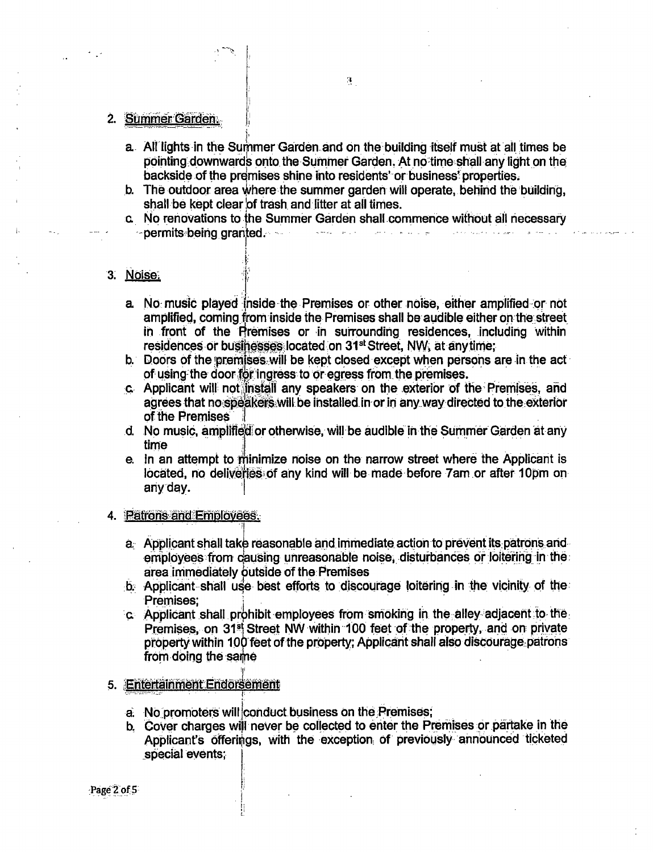## 2. Summer Garden.

a. All lights in the Summer Garden and on the building itself must at all times be pointing downwards onto the Summer Garden. At no time shall any light on the backside of the premises shine into residents' or business' properties.

 $\mathbf{3}_{\perp}$ 

- b. The outdoor area where the summer garden will operate, behind the building, shall be kept clear of trash and litter at all times.
- c. No renovations to the Summer Garden shall commence without all necessary - permits being granted. الرقصي

#### 3. Noise:

- a. No music played inside the Premises or other noise, either amplified or not amplified, coming from inside the Premises shall be audible either on the street in front of the Premises or in surrounding residences, including within residences or businesses located on 31<sup>st</sup> Street, NW, at any time;
- b. Doors of the premises will be kept closed except when persons are in the act of using the door for ingress to or egress from the premises.
- c. Applicant will not install any speakers on the exterior of the Premises, and agrees that no speakers will be installed in or in any way directed to the exterior of the Premises
- d. No music, amplified or otherwise, will be audible in the Summer Garden at any time
- e. In an attempt to minimize noise on the narrow street where the Applicant is located, no deliveries of any kind will be made before 7am or after 10pm on any day.

#### 4. Patrons and Employees.

- a. Applicant shall take reasonable and immediate action to prevent its patrons and employees from causing unreasonable noise, disturbances or loitering in the area immediately outside of the Premises
- b. Applicant shall use best efforts to discourage loitering in the vicinity of the Premises:
- c. Applicant shall prohibit employees from smoking in the alley adjacent to the Premises, on 31<sup>st</sup> Street NW within 100 feet of the property, and on private property within 100 feet of the property; Applicant shall also discourage patrons from doing the same

#### 5. Entertainment Endorsement

- a. No promoters will conduct business on the Premises;
- b. Cover charges will never be collected to enter the Premises or partake in the Applicant's offerings, with the exception of previously announced ticketed special events:

Page 2 of 5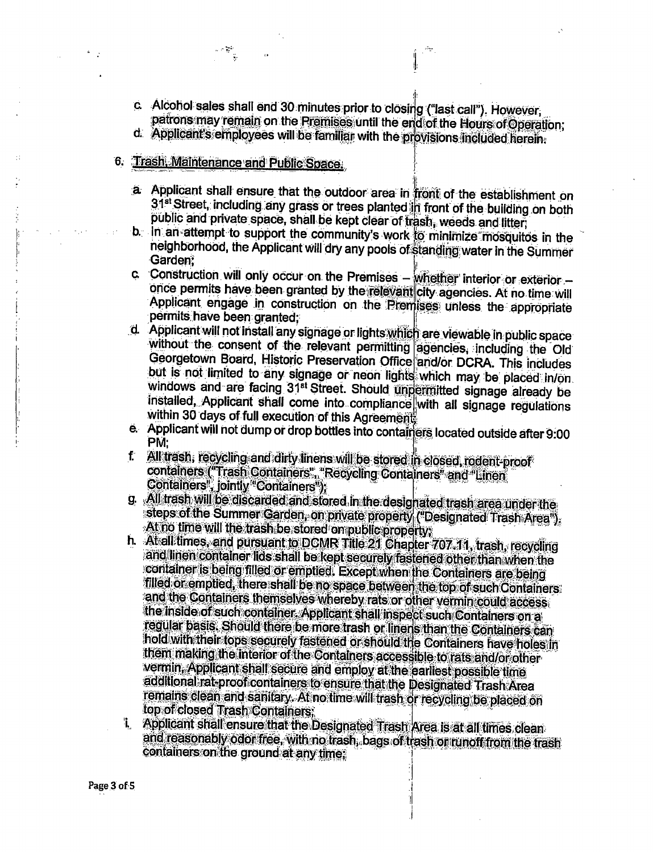- c. Alcohol sales shall end 30 minutes prior to closing ("last call"). However, patrons may remain on the Premises until the end of the Hours of Operation;
- d. Applicant's employees will be familiar with the provisions included herein.
- 6. Trash. Maintenance and Public Space.

- a Applicant shall ensure that the outdoor area in front of the establishment on 31<sup>st</sup> Street, including any grass or trees planted in front of the building on both public and private space, shall be kept clear of trash, weeds and litter,
- b. In an attempt to support the community's work to minimize mosquitos in the neighborhood, the Applicant will dry any pools of standing water in the Summer Garden?
- c. Construction will only occur on the Premises whether interior or exterior once permits have been granted by the relevant city agencies. At no time will Applicant engage in construction on the Premises unless the appropriate permits have been granted:
- d. Applicant will not install any signage or lights which are viewable in public space without the consent of the relevant permitting agencies, including the Old Georgetown Board, Historic Preservation Office and/or DCRA. This includes but is not limited to any signage or neon lights which may be placed in/on. windows and are facing 31st Street. Should unpermitted signage already be installed, Applicant shall come into compliance with all signage regulations within 30 days of full execution of this Agreement.
- e. Applicant will not dump or drop bottles into containers located outside after 9:00 PM.
- f All trash, recycling and dirty linens will be stored in closed, rodent-proof containers ("Trash Containers", "Recycling Containers" and "Linen Containers<sup>1</sup>, jointly<sup>4</sup>Containers<sup>4</sup>);
- g. All trash will be discarded and stored in the designated trash area under the steps of the Summer Garden, on private property ("Designated Trash Area"). At no time will the trash be stored ompublic property.
- h. At all times, and pursuant to DCMR Title 21 Chapter 707 11, trash, recycling and linen container lids shall be kept securely fastened other than when the container is being filled or emptied. Except when the Containers are being filled of emptied, there shall be no space between the top of such Containers and the Containers themselves whereby rats or other vermin could access the inside of such container. Applicant shall inspect such Containers on a regular basis. Should there be more trash or linens than the Containers can hold with their tops securely fastened or should the Containers have holes in them making the interior of the Containers accessible to rats and/or other vermin, Applicant shall secure and employ at the earliest possible time additional rat proof containers to ensure that the Designated Trash Area remains clean and sanitary. At no time will trash or recycling be placed on top of closed Trash Containers;
- Applicant shall ensure that the Designated Trash Area is at all times clean  $\ddot{\mathbf{i}}$ and reasonably odor free, with no trash, bags of trash or runoff from the trash containers on the ground at any time,

Page 3 of 5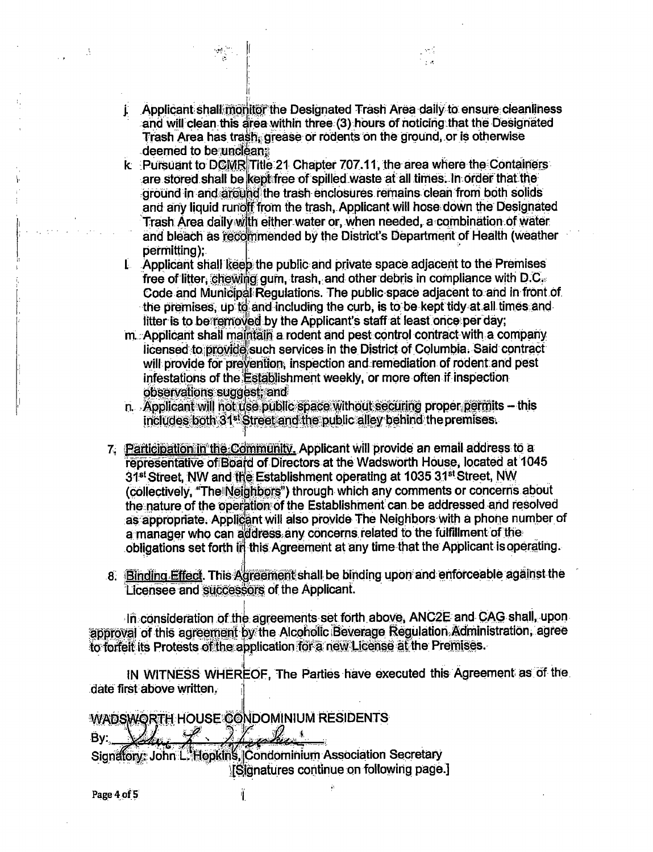- j. Applicant shall monitor the Designated Trash Area daily to ensure cleanliness and will clean this area within three (3) hours of noticing that the Designated Trash Area has trash, grease or rodents on the ground, or is otherwise deemed to be uncleans
- k Pursuant to DCMR Title 21 Chapter 707.11, the area where the Containers are stored shall be kept free of spilled waste at all times. In order that the ground in and around the trash enclosures remains clean from both solids and any liquid runoff from the trash. Applicant will hose down the Designated Trash Area daily with either water or, when needed, a combination of water and bleach as recommended by the District's Department of Health (weather permitting);
- L Applicant shall keep the public and private space adjacent to the Premises free of litter, chewing gum, trash, and other debris in compliance with D.C. Code and Municipal Regulations. The public space adjacent to and in front of the premises, up to and including the curb, is to be kept tidy at all times and litter is to be removed by the Applicant's staff at least once per day;
- m. Applicant shall maintain a rodent and pest control contract with a company licensed to provide such services in the District of Columbia. Said contract will provide for prevention, inspection and remediation of rodent and pest infestations of the Establishment weekly, or more often if inspection observations suggest, and
- n. Applicant will not use public space without securing proper permits this includes both 31<sup>st</sup> Street and the public alley behind the premises.
- 7. Participation in the Community. Applicant will provide an email address to a representative of Board of Directors at the Wadsworth House, located at 1045 31<sup>st</sup> Street, NW and the Establishment operating at 1035 31<sup>st</sup> Street, NW (collectively, "The Neighbors") through which any comments or concerns about the nature of the operation of the Establishment can be addressed and resolved as appropriate. Applicant will also provide The Neighbors with a phone number of a manager who can address any concerns related to the fulfillment of the obligations set forth in this Agreement at any time that the Applicant is operating.
- 8. Binding Effect. This Agreement shall be binding upon and enforceable against the Licensee and successors of the Applicant.

In consideration of the agreements set forth above, ANC2E and CAG shall, upon approval of this agreement by the Alcoholic Beverage Regulation Administration, agree to forfeit its Protests of the application for a new License at the Premises.

IN WITNESS WHEREOF, The Parties have executed this Agreement as of the date first above written.

j.

WADSWORTH HOUSE CONDOMINIUM RESIDENTS <u> 2 Liphic</u> By:

Ï.

Signatory: John L. Hopkins, Condominium Association Secretary **ISignatures continue on following page.]** 

Page 4 of 5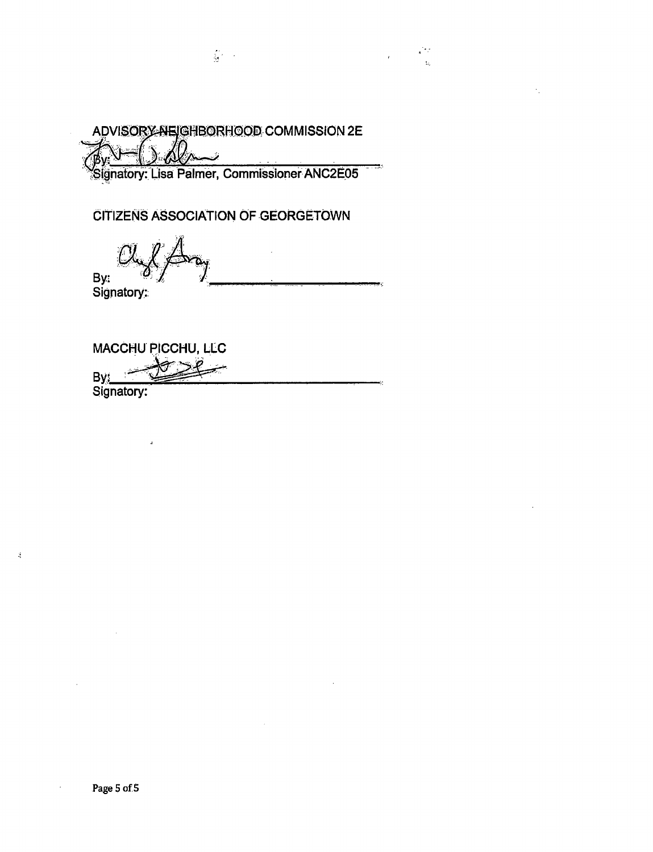ADVISORY NEIGHBORHOOD COMMISSION 2E Ï

 $\frac{1}{M}$  ,  $\frac{1}{M}$ 

 $\bar{\ell}$ 

÷.

Signatory: Lisa Palmer, Commissioner ANC2E05

CITIZENS ASSOCIATION OF GEORGETOWN

By: Signatory:

MACCHU PICCHU, LLC By:

 $\frac{1}{2}$ 

 $\mathbf{J}$ 

 $\ddot{\phantom{0}}$